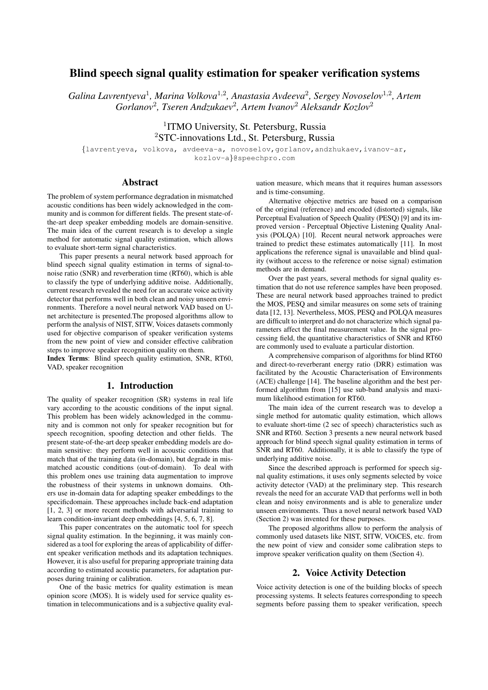# Blind speech signal quality estimation for speaker verification systems

*Galina Lavrentyeva*<sup>1</sup> *, Marina Volkova*<sup>1</sup>,<sup>2</sup> *, Anastasia Avdeeva*<sup>2</sup> *, Sergey Novoselov*<sup>1</sup>,<sup>2</sup> *, Artem Gorlanov*<sup>2</sup> *, Tseren Andzukaev*<sup>2</sup> *, Artem Ivanov*<sup>2</sup> *Aleksandr Kozlov*<sup>2</sup>

> <sup>1</sup>ITMO University, St. Petersburg, Russia <sup>2</sup>STC-innovations Ltd., St. Petersburg, Russia

{lavrentyeva, volkova, avdeeva-a, novoselov,gorlanov,andzhukaev,ivanov-ar, kozlov-a}@speechpro.com

### Abstract

The problem of system performance degradation in mismatched acoustic conditions has been widely acknowledged in the community and is common for different fields. The present state-ofthe-art deep speaker embedding models are domain-sensitive. The main idea of the current research is to develop a single method for automatic signal quality estimation, which allows to evaluate short-term signal characteristics.

This paper presents a neural network based approach for blind speech signal quality estimation in terms of signal-tonoise ratio (SNR) and reverberation time (RT60), which is able to classify the type of underlying additive noise. Additionally, current research revealed the need for an accurate voice activity detector that performs well in both clean and noisy unseen environments. Therefore a novel neural network VAD based on Unet architecture is presented.The proposed algorithms allow to perform the analysis of NIST, SITW, Voices datasets commonly used for objective comparison of speaker verification systems from the new point of view and consider effective calibration steps to improve speaker recognition quality on them.

Index Terms: Blind speech quality estimation, SNR, RT60, VAD, speaker recognition

# 1. Introduction

The quality of speaker recognition (SR) systems in real life vary according to the acoustic conditions of the input signal. This problem has been widely acknowledged in the community and is common not only for speaker recognition but for speech recognition, spoofing detection and other fields. The present state-of-the-art deep speaker embedding models are domain sensitive: they perform well in acoustic conditions that match that of the training data (in-domain), but degrade in mismatched acoustic conditions (out-of-domain). To deal with this problem ones use training data augmentation to improve the robustness of their systems in unknown domains. Others use in-domain data for adapting speaker embeddings to the specificdomain. These approaches include back-end adaptation [1, 2, 3] or more recent methods with adversarial training to learn condition-invariant deep embeddings [4, 5, 6, 7, 8].

This paper concentrates on the automatic tool for speech signal quality estimation. In the beginning, it was mainly considered as a tool for exploring the areas of applicability of different speaker verification methods and its adaptation techniques. However, it is also useful for preparing appropriate training data according to estimated acoustic parameters, for adaptation purposes during training or calibration.

One of the basic metrics for quality estimation is mean opinion score (MOS). It is widely used for service quality estimation in telecommunications and is a subjective quality eval-

uation measure, which means that it requires human assessors and is time-consuming.

Alternative objective metrics are based on a comparison of the original (reference) and encoded (distorted) signals, like Perceptual Evaluation of Speech Quality (PESQ) [9] and its improved version - Perceptual Objective Listening Quality Analysis (POLQA) [10]. Recent neural network approaches were trained to predict these estimates automatically [11]. In most applications the reference signal is unavailable and blind quality (without access to the reference or noise signal) estimation methods are in demand.

Over the past years, several methods for signal quality estimation that do not use reference samples have been proposed. These are neural network based approaches trained to predict the MOS, PESQ and similar measures on some sets of training data [12, 13]. Nevertheless, MOS, PESQ and POLQA measures are difficult to interpret and do not characterize which signal parameters affect the final measurement value. In the signal processing field, the quantitative characteristics of SNR and RT60 are commonly used to evaluate a particular distortion.

A comprehensive comparison of algorithms for blind RT60 and direct-to-reverberant energy ratio (DRR) estimation was facilitated by the Acoustic Characterisation of Environments (ACE) challenge [14]. The baseline algorithm and the best performed algorithm from [15] use sub-band analysis and maximum likelihood estimation for RT60.

The main idea of the current research was to develop a single method for automatic quality estimation, which allows to evaluate short-time (2 sec of speech) characteristics such as SNR and RT60. Section 3 presents a new neural network based approach for blind speech signal quality estimation in terms of SNR and RT60. Additionally, it is able to classify the type of underlying additive noise.

Since the described approach is performed for speech signal quality estimations, it uses only segments selected by voice activity detector (VAD) at the preliminary step. This research reveals the need for an accurate VAD that performs well in both clean and noisy environments and is able to generalize under unseen environments. Thus a novel neural network based VAD (Section 2) was invented for these purposes.

The proposed algorithms allow to perform the analysis of commonly used datasets like NIST, SITW, VOiCES, etc. from the new point of view and consider some calibration steps to improve speaker verification quality on them (Section 4).

### 2. Voice Activity Detection

Voice activity detection is one of the building blocks of speech processing systems. It selects features corresponding to speech segments before passing them to speaker verification, speech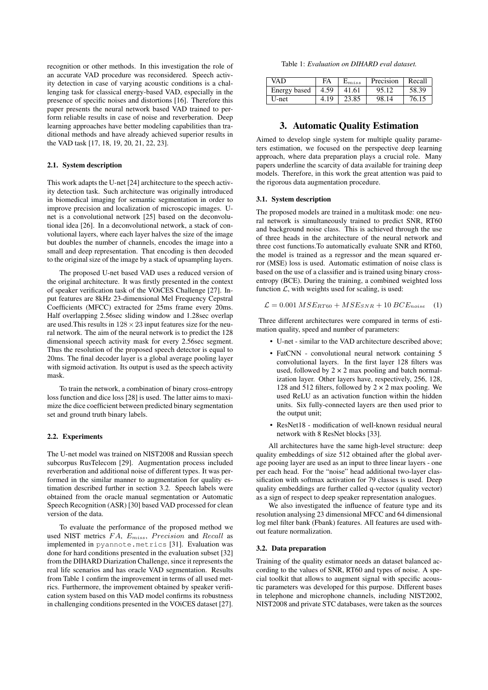recognition or other methods. In this investigation the role of an accurate VAD procedure was reconsidered. Speech activity detection in case of varying acoustic conditions is a challenging task for classical energy-based VAD, especially in the presence of specific noises and distortions [16]. Therefore this paper presents the neural network based VAD trained to perform reliable results in case of noise and reverberation. Deep learning approaches have better modeling capabilities than traditional methods and have already achieved superior results in the VAD task [17, 18, 19, 20, 21, 22, 23].

# 2.1. System description

This work adapts the U-net [24] architecture to the speech activity detection task. Such architecture was originally introduced in biomedical imaging for semantic segmentation in order to improve precision and localization of microscopic images. Unet is a convolutional network [25] based on the deconvolutional idea [26]. In a deconvolutional network, a stack of convolutional layers, where each layer halves the size of the image but doubles the number of channels, encodes the image into a small and deep representation. That encoding is then decoded to the original size of the image by a stack of upsampling layers.

The proposed U-net based VAD uses a reduced version of the original architecture. It was firstly presented in the context of speaker verification task of the VOiCES Challenge [27]. Input features are 8kHz 23-dimensional Mel Frequency Cepstral Coefficients (MFCC) extracted for 25ms frame every 20ms. Half overlapping 2.56sec sliding window and 1.28sec overlap are used. This results in  $128 \times 23$  input features size for the neural network. The aim of the neural network is to predict the 128 dimensional speech activity mask for every 2.56sec segment. Thus the resolution of the proposed speech detector is equal to 20ms. The final decoder layer is a global average pooling layer with sigmoid activation. Its output is used as the speech activity mask.

To train the network, a combination of binary cross-entropy loss function and dice loss [28] is used. The latter aims to maximize the dice coefficient between predicted binary segmentation set and ground truth binary labels.

#### 2.2. Experiments

The U-net model was trained on NIST2008 and Russian speech subcorpus RusTelecom [29]. Augmentation process included reverberation and additional noise of different types. It was performed in the similar manner to augmentation for quality estimation described further in section 3.2. Speech labels were obtained from the oracle manual segmentation or Automatic Speech Recognition (ASR) [30] based VAD processed for clean version of the data.

To evaluate the performance of the proposed method we used NIST metrics  $FA$ ,  $E_{miss}$ , Precision and Recall as implemented in pyannote.metrics [31]. Evaluation was done for hard conditions presented in the evaluation subset [32] from the DIHARD Diarization Challenge, since it represents the real life scenarios and has oracle VAD segmentation. Results from Table 1 confirm the improvement in terms of all used metrics. Furthermore, the improvement obtained by speaker verification system based on this VAD model confirms its robustness in challenging conditions presented in the VOiCES dataset [27].

| Table 1: Evaluation on DIHARD eval dataset. |  |
|---------------------------------------------|--|
|---------------------------------------------|--|

| VAD          | FA   | $E_{miss}$ | Precision | Recall |
|--------------|------|------------|-----------|--------|
| Energy based | 4.59 | 41.61      | 95.12     | 58.39  |
| U-net        | 4.19 | 23.85      | 98.14     | 76.15  |

# 3. Automatic Quality Estimation

Aimed to develop single system for multiple quality parameters estimation, we focused on the perspective deep learning approach, where data preparation plays a crucial role. Many papers underline the scarcity of data available for training deep models. Therefore, in this work the great attention was paid to the rigorous data augmentation procedure.

#### 3.1. System description

The proposed models are trained in a multitask mode: one neural network is simultaneously trained to predict SNR, RT60 and background noise class. This is achieved through the use of three heads in the architecture of the neural network and three cost functions.To automatically evaluate SNR and RT60, the model is trained as a regressor and the mean squared error (MSE) loss is used. Automatic estimation of noise class is based on the use of a classifier and is trained using binary crossentropy (BCE). During the training, a combined weighted loss function  $\mathcal{L}$ , with weights used for scaling, is used:

$$
\mathcal{L} = 0.001 \, MSE_{RT60} + MSE_{SNR} + 10 \, BCE_{noise} \quad (1)
$$

Three different architectures were compared in terms of estimation quality, speed and number of parameters:

- U-net similar to the VAD architecture described above;
- FatCNN convolutional neural network containing 5 convolutional layers. In the first layer 128 filters was used, followed by  $2 \times 2$  max pooling and batch normalization layer. Other layers have, respectively, 256, 128, 128 and 512 filters, followed by  $2 \times 2$  max pooling. We used ReLU as an activation function within the hidden units. Six fully-connected layers are then used prior to the output unit;
- ResNet18 modification of well-known residual neural network with 8 ResNet blocks [33].

All architectures have the same high-level structure: deep quality embeddings of size 512 obtained after the global average pooing layer are used as an input to three linear layers - one per each head. For the "noise" head additional two-layer classification with softmax activation for 79 classes is used. Deep quality embeddings are further called q-vector (quality vector) as a sign of respect to deep speaker representation analogues.

We also investigated the influence of feature type and its resolution analysing 23 dimensional MFCC and 64 dimensional log mel filter bank (Fbank) features. All features are used without feature normalization.

#### 3.2. Data preparation

Training of the quality estimator needs an dataset balanced according to the values of SNR, RT60 and types of noise. A special toolkit that allows to augment signal with specific acoustic parameters was developed for this purpose. Different bases in telephone and microphone channels, including NIST2002, NIST2008 and private STC databases, were taken as the sources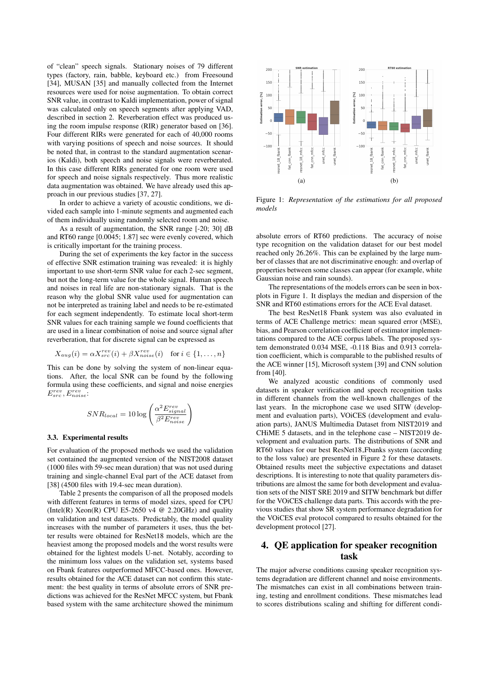of "clean" speech signals. Stationary noises of 79 different types (factory, rain, babble, keyboard etc.) from Freesound [34], MUSAN [35] and manually collected from the Internet resources were used for noise augmentation. To obtain correct SNR value, in contrast to Kaldi implementation, power of signal was calculated only on speech segments after applying VAD, described in section 2. Reverberation effect was produced using the room impulse response (RIR) generator based on [36]. Four different RIRs were generated for each of 40,000 rooms with varying positions of speech and noise sources. It should be noted that, in contrast to the standard augmentation scenarios (Kaldi), both speech and noise signals were reverberated. In this case different RIRs generated for one room were used for speech and noise signals respectively. Thus more realistic data augmentation was obtained. We have already used this approach in our previous studies [37, 27].

In order to achieve a variety of acoustic conditions, we divided each sample into 1-minute segments and augmented each of them individually using randomly selected room and noise.

As a result of augmentation, the SNR range [-20; 30] dB and RT60 range [0.0045; 1.87] sec were evenly covered, which is critically important for the training process.

During the set of experiments the key factor in the success of effective SNR estimation training was revealed: it is highly important to use short-term SNR value for each 2-sec segment, but not the long-term value for the whole signal. Human speech and noises in real life are non-stationary signals. That is the reason why the global SNR value used for augmentation can not be interpreted as training label and needs to be re-estimated for each segment independently. To estimate local short-term SNR values for each training sample we found coefficients that are used in a linear combination of noise and source signal after reverberation, that for discrete signal can be expressed as

$$
X_{aug}(i) = \alpha X_{src}^{rev}(i) + \beta X_{noise}^{rev}(i) \quad \text{for } i \in \{1, \dots, n\}
$$

This can be done by solving the system of non-linear equations. After, the local SNR can be found by the following formula using these coefficients, and signal and noise energies  $E_{src}^{rev}, E_{noise}^{rev}$ 

$$
SNR_{local} = 10 \log \left( \frac{\alpha^2 E_{signal}^{rev}}{\beta^2 E_{noise}^{rev}} \right)
$$

#### 3.3. Experimental results

For evaluation of the proposed methods we used the validation set contained the augmented version of the NIST2008 dataset (1000 files with 59-sec mean duration) that was not used during training and single-channel Eval part of the ACE dataset from [38] (4500 files with 19.4-sec mean duration).

Table 2 presents the comparison of all the proposed models with different features in terms of model sizes, speed for CPU (Intel(R) Xeon(R) CPU E5-2650 v4  $@$  2.20GHz) and quality on validation and test datasets. Predictably, the model quality increases with the number of parameters it uses, thus the better results were obtained for ResNet18 models, which are the heaviest among the proposed models and the worst results were obtained for the lightest models U-net. Notably, according to the minimum loss values on the validation set, systems based on Fbank features outperformed MFCC-based ones. However, results obtained for the ACE dataset can not confirm this statement: the best quality in terms of absolute errors of SNR predictions was achieved for the ResNet MFCC system, but Fbank based system with the same architecture showed the minimum



Figure 1: *Representation of the estimations for all proposed models*

absolute errors of RT60 predictions. The accuracy of noise type recognition on the validation dataset for our best model reached only 26.26%. This can be explained by the large number of classes that are not discriminative enough: and overlap of properties between some classes can appear (for example, white Gaussian noise and rain sounds).

The representations of the models errors can be seen in boxplots in Figure 1. It displays the median and dispersion of the SNR and RT60 estimations errors for the ACE Eval dataset.

The best ResNet18 Fbank system was also evaluated in terms of ACE Challenge metrics: mean squared error (MSE), bias, and Pearson correlation coefficient of estimator implementations compared to the ACE corpus labels. The proposed system demonstrated 0.034 MSE, -0.118 Bias and 0.913 correlation coefficient, which is comparable to the published results of the ACE winner [15], Microsoft system [39] and CNN solution from [40].

We analyzed acoustic conditions of commonly used datasets in speaker verification and speech recognition tasks in different channels from the well-known challenges of the last years. In the microphone case we used SITW (development and evaluation parts), VOiCES (development and evaluation parts), JANUS Multimedia Dataset from NIST2019 and CHiME 5 datasets, and in the telephone case – NIST2019 development and evaluation parts. The distributions of SNR and RT60 values for our best ResNet18 Fbanks system (according to the loss value) are presented in Figure 2 for these datasets. Obtained results meet the subjective expectations and dataset descriptions. It is interesting to note that quality parameters distributions are almost the same for both development and evaluation sets of the NIST SRE 2019 and SITW benchmark but differ for the VOiCES challenge data parts. This accords with the previous studies that show SR system performance degradation for the VOiCES eval protocol compared to results obtained for the development protocol [27].

# 4. QE application for speaker recognition task

The major adverse conditions causing speaker recognition systems degradation are different channel and noise environments. The mismatches can exist in all combinations between training, testing and enrollment conditions. These mismatches lead to scores distributions scaling and shifting for different condi-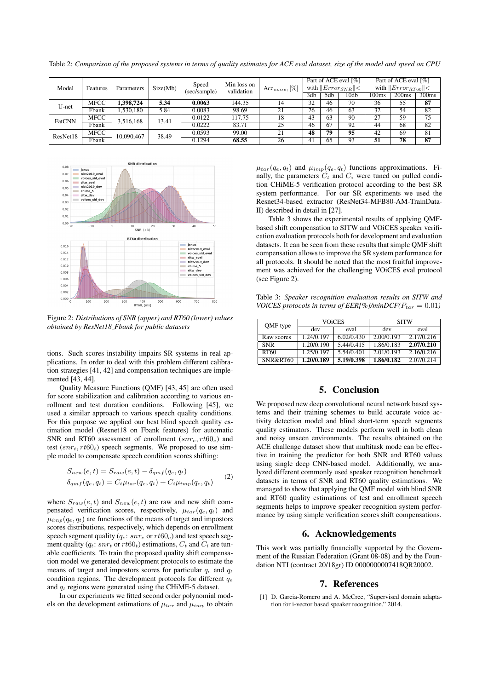Table 2: *Comparison of the proposed systems in terms of quality estimates for ACE eval dataset, size of the model and speed on CPU*

| Model                          | Features    | Parameters | Speed<br>Size(Mb)<br>(sec/sample) | Min loss on<br>validation | $Acc_{noise}, [\%]$ | Part of ACE eval [%]<br>with $  Error_{SNR}   <$ |     |                 | Part of ACE eval [%]<br>with $  Error_{RT60}  <$ |       |                   |       |
|--------------------------------|-------------|------------|-----------------------------------|---------------------------|---------------------|--------------------------------------------------|-----|-----------------|--------------------------------------------------|-------|-------------------|-------|
|                                |             |            |                                   |                           |                     |                                                  | 3db | 5d <sub>b</sub> | 10db                                             | 100ms | 200 <sub>ms</sub> | 300ms |
| U-net                          | <b>MFCC</b> | .398.724   | 5.34                              | 0.0063                    | 144.35              | 14                                               | 32  | 46              | 70                                               | 36    | 55                | 87    |
|                                | Fbank       | .530,180   | 5.84                              | 0.0083                    | 98.69               | 21                                               | 26  | 46              | 63                                               | 32    | 54                | 82    |
| <b>MFCC</b><br>FatCNN<br>Fbank | 3,516,168   | 13.41      | 0.0122                            | 117.75                    | 18                  | 43                                               | 63  | 90              | 27                                               | 59    | 75                |       |
|                                |             |            |                                   | 0.0222                    | 83.71               | 25                                               | 46  | 67              | 92                                               | 44    | 68                | 82    |
| ResNet18                       | <b>MFCC</b> | 10,090,467 | 38.49                             | 0.0593                    | 99.00               | 21                                               | 48  | 79              | 95                                               | 42    | 69                | 81    |
|                                | Fbank       |            |                                   | 0.1294                    | 68.55               | 26                                               | 41  | 65              | 93                                               | 51    | 78                | 87    |



Figure 2: *Distributions of SNR (upper) and RT60 (lower) values obtained by ResNet18 Fbank for public datasets*

tions. Such scores instability impairs SR systems in real applications. In order to deal with this problem different calibration strategies [41, 42] and compensation techniques are implemented [43, 44].

Quality Measure Functions (QMF) [43, 45] are often used for score stabilization and calibration according to various enrollment and test duration conditions. Following [45], we used a similar approach to various speech quality conditions. For this purpose we applied our best blind speech quality estimation model (Resnet18 on Fbank features) for automatic SNR and RT60 assessment of enrollment  $(snr_e, rt60_e)$  and test  $(snr_t, rt60_t)$  speech segments. We proposed to use simple model to compensate speech condition scores shifting:

$$
S_{new}(e, t) = S_{raw}(e, t) - \delta_{qmf}(q_e, q_t)
$$
  
\n
$$
\delta_{qmf}(q_e, q_t) = C_t \mu_{tar}(q_e, q_t) + C_i \mu_{imp}(q_e, q_t)
$$
 (2)

where  $S_{raw}(e, t)$  and  $S_{new}(e, t)$  are raw and new shift compensated verification scores, respectively,  $\mu_{tar}(q_e, q_t)$  and  $\mu_{imp}(q_e, q_t)$  are functions of the means of target and impostors scores distributions, respectively, which depends on enrollment speech segment quality ( $q_e$ :  $snr_e$  or  $rt60_e$ ) and test speech segment quality ( $q_t$ :  $snr_t$  or  $rt60_t$ ) estimations,  $C_t$  and  $C_i$  are tunable coefficients. To train the proposed quality shift compensation model we generated development protocols to estimate the means of target and impostors scores for particular  $q_e$  and  $q_t$ condition regions. The development protocols for different  $q_e$ and  $q_t$  regions were generated using the CHiME-5 dataset.

In our experiments we fitted second order polynomial models on the development estimations of  $\mu_{tar}$  and  $\mu_{imp}$  to obtain  $\mu_{tar}(q_e, q_t)$  and  $\mu_{imp}(q_e, q_t)$  functions approximations. Finally, the parameters  $C_t$  and  $C_i$  were tuned on pulled condition CHiME-5 verification protocol according to the best SR system performance. For our SR experiments we used the Resnet34-based extractor (ResNet34-MFB80-AM-TrainData-II) described in detail in [27].

Table 3 shows the experimental results of applying QMFbased shift compensation to SITW and VOiCES speaker verification evaluation protocols both for development and evaluation datasets. It can be seen from these results that simple QMF shift compensation allows to improve the SR system performance for all protocols. It should be noted that the most fruitful improvement was achieved for the challenging VOiCES eval protocol (see Figure 2).

Table 3: *Speaker recognition evaluation results on SITW and VOICES protocols in terms of EER[%]/minDCF(* $P_{tar} = 0.01$ *)* 

| QMF type   |            | VOICES     | <b>SITW</b> |            |  |  |
|------------|------------|------------|-------------|------------|--|--|
|            | dev        | eval       | dev         | eval       |  |  |
| Raw scores | 1.24/0.197 | 6.02/0.430 | 2.00/0.193  | 2.17/0.216 |  |  |
| <b>SNR</b> | 1.20/0.190 | 5.44/0.415 | 1.86/0.183  | 2.07/0.210 |  |  |
| RT60       | 1.25/0.197 | 5.54/0.401 | 2.01/0.193  | 2.16/0.216 |  |  |
| SNR&RT60   | 1.20/0.189 | 5.19/0.398 | 1.86/0.182  | 2.07/0.214 |  |  |

# 5. Conclusion

We proposed new deep convolutional neural network based systems and their training schemes to build accurate voice activity detection model and blind short-term speech segments quality estimators. These models perform well in both clean and noisy unseen environments. The results obtained on the ACE challenge dataset show that multitask mode can be effective in training the predictor for both SNR and RT60 values using single deep CNN-based model. Additionally, we analyzed different commonly used speaker recognition benchmark datasets in terms of SNR and RT60 quality estimations. We managed to show that applying the QMF model with blind SNR and RT60 quality estimations of test and enrollment speech segments helps to improve speaker recognition system performance by using simple verification scores shift compensations.

# 6. Acknowledgements

This work was partially financially supported by the Government of the Russian Federation (Grant 08-08) and by the Foundation NTI (contract 20/18gr) ID 0000000007418QR20002.

### 7. References

[1] D. Garcia-Romero and A. McCree, "Supervised domain adaptation for i-vector based speaker recognition," 2014.